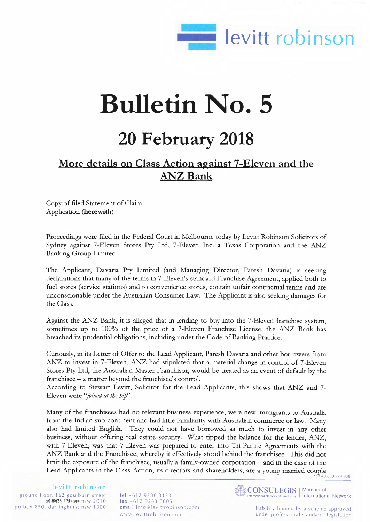

## **Bulletin No. 5**

## **20 February 2018**

## **More details on Class Action against 7-Eleven and the ANZ Bank**

Copy of filed Statement of Claim. Application **(herewith)** 

Proceedings were filed in the Federal Court in Melbourne today by Levitt Robinson Solicitors of Sydney against 7-Eleven Stores Pty Ltd, 7-Eleven Inc. a Texas Corporation and the ANZ Banking Group Limited.

The Applicant, Davaria Pty Limited (and Managing Director, Paresh Davaria) is seeking declarations that many of the terms in 7-Eleven's standard Franchise Agreement, applied both to fuel stores (service stations) and to convenience stores, contain unfair contractual terms and are unconscionable under the Australian Consumer Law. The Applicant is also seeking damages for the Class.

Against the ANZ Bank, it is alleged that in lending to buy into the 7-Eleven franchise system, sometimes up to 100% of the price of a 7-Eleven Franchise License, the ANZ Bank has breached its prudential obligations, including under the Code of Banking Practice.

Curiously, in its Letter of Offer to the Lead Applicant, Paresh Davaria and other borrowers from ANZ to invest in 7-Eleven, ANZ had stipulated that a material change in control of 7-Eleven Stores Pty Ltd, the Australian Master Franchisor, would be treated as an event of default by the franchisee - a matter beyond the franchisee's control.

According to Stewart Levitt, Solicitor for the Lead Applicants, this shows that ANZ and 7 - Eleven were *"joined at the hip".* 

Many of the franchisees had no relevant business experience, were new immigrants to Australia from the Indian sub-continent and had little familiarity with Australian commerce or law. Many also had limited English. They could not have borrowed as much to invest in any other business, without offering real estate security. What tipped the balance for the lender, ANZ, with 7-Eleven, was that 7-Eleven was prepared to enter into Tri-Partite Agreements with the ANZ Bank and the Franchisee, whereby it effectively stood behind the franchisee. This did not limit the exposure of the franchisee, usually a family-owned corporation - and in the case of the Lead Applicants in the Class Action, its directors and shareholders, are a young married couple

abn 40 690 774 938

**levitt robinson**  ground floor, 162 goulburn street  $pb60623/174$  dock nsw 2010 po box 850, darlinghurst nsw 1300

**tel** +612 9286 3133 **fax** +612 9283 0005 **email** [info@levittrobinson.com](mailto:info@levittrobinson.com) www. Ievittrobinson.com



onal Network of Law Firms | International Network

liability limited by a scheme approved under professional standards legislation